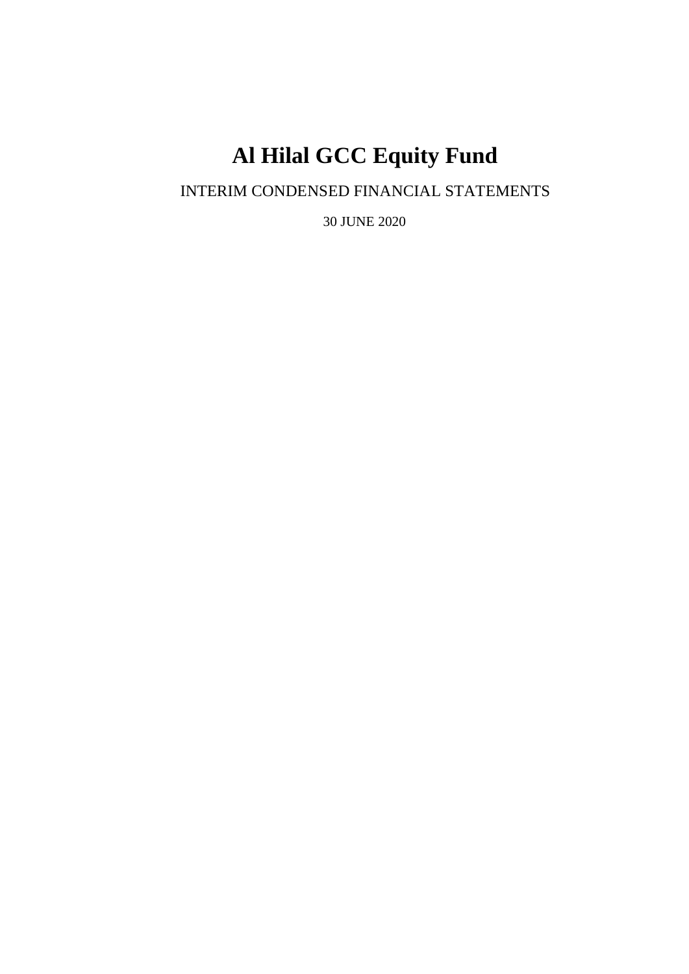# INTERIM CONDENSED FINANCIAL STATEMENTS

30 JUNE 2020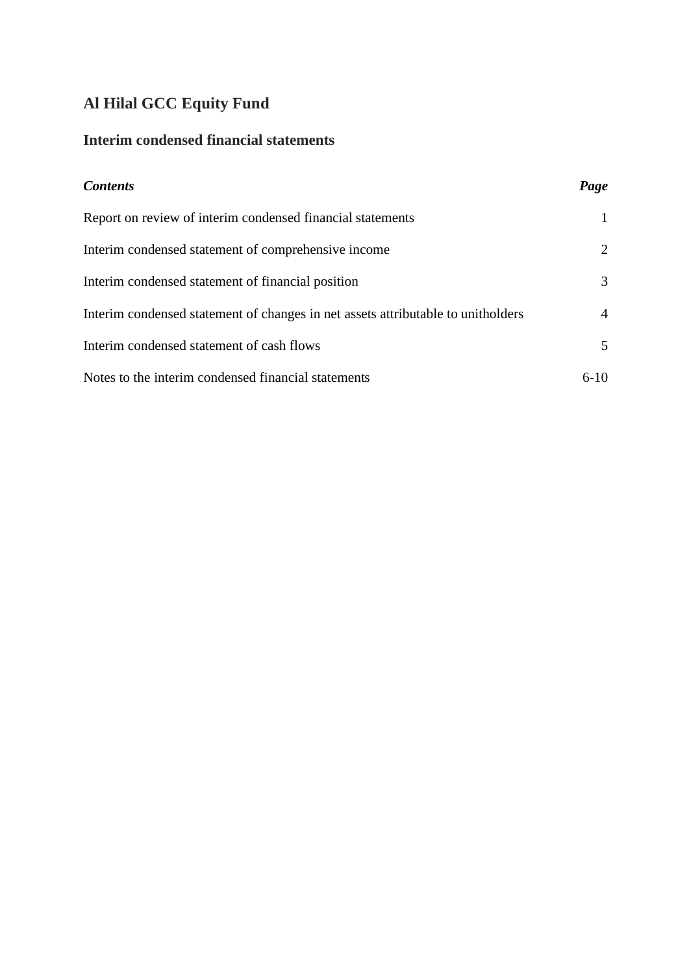## **Interim condensed financial statements**

| <b>Contents</b>                                                                  | Page           |
|----------------------------------------------------------------------------------|----------------|
| Report on review of interim condensed financial statements                       | 1              |
| Interim condensed statement of comprehensive income                              | 2              |
| Interim condensed statement of financial position                                | 3              |
| Interim condensed statement of changes in net assets attributable to unitholders | $\overline{4}$ |
| Interim condensed statement of cash flows                                        | 5              |
| Notes to the interim condensed financial statements                              | $6-10$         |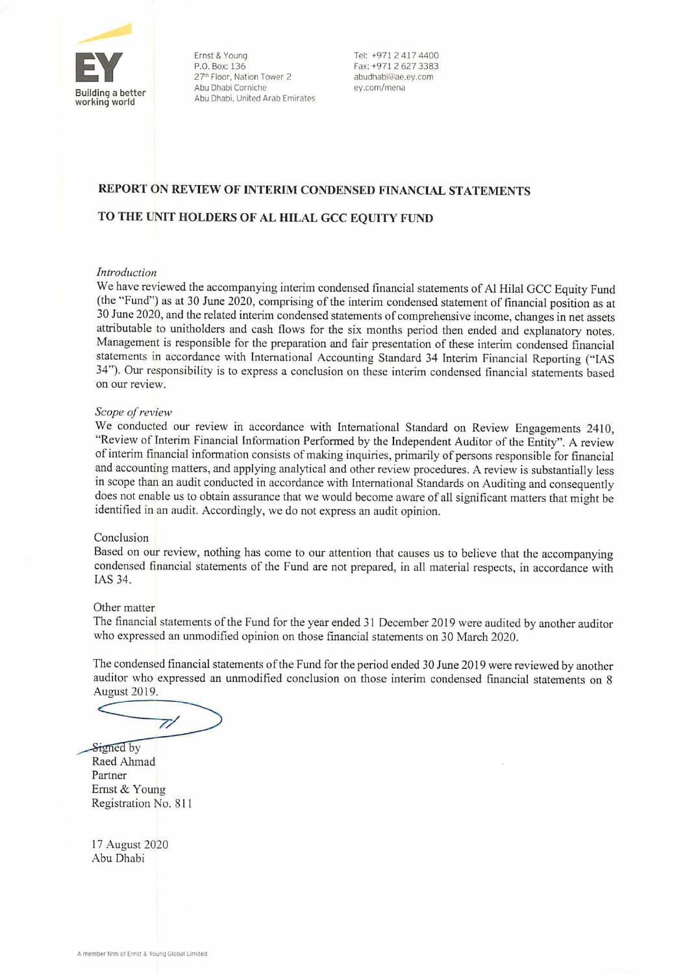

Ernst & Young Tel: +971 2 417 4400<br>P.O. Box: 136 Fax: +971 2 627 3383 Ernst & Young<br>
P.O. Box: 136<br>
27<sup>th</sup> Floor, Nation Tower 2<br> **ling a better**<br>
Abu Dhabi United Arab Emirates<br>
Abu Dhabi United Arab Emirates<br>
ey.com/mena

#### REPORT ON REVIEW OF INTERIM CONDENSED FINANCIAL STATEMENTS

#### TO THE UNIT HOLDERS OF AL HILAL GCC EQUITY FUND

#### Introduction

We have reviewed the accompanying interim condensed financial statements of Al Hilal GCC Equity Fund (the "Fund") as at 30 June 2020, comprising of the interim condensed statement of financial position as at 30 June 2020, and the related interim condensed statements of comprehensive income, changes in net assets attributable to unitholders and cash flows for the six months period then ended and explanatory notes. Management is responsible for the preparation and fair presentation of these interim condensed financial statements in accordance with International Accounting Standard 34 Interim Financial Reporting ("IAS 34"). Our responsibility is to express a conclusion on these interim condensed financial statements based on our review.

#### Scope of review

We conducted our review in accordance with International Standard on Review Engagements 2410, "Review of Interim Financial Information Performed by the Independent Auditor of the Entity". A review of interim financial information consists of making inquiries, primarily of persons responsible for financial and accounting matters, and applying analytical and other review procedures. A review is substantially less in scope than an audit conducted in accordance with International Standards on Auditing and consequently does not enable us to obtain assurance that we would become aware of all significant matters that might be identified in an audit. Accordingly, we do not express an audit opinion.

#### Conclusion

Based on our review, nothing has come to our attention that causes us to believe that the accompanying condensed financial statements of the Fund are not prepared, in all material respects, in accordance with IAS 34.

#### Other matter

The financial statements of the Fund for the year ended 31 December 2019 were audited by another auditor who expressed an unmodified opinion on those financial statements on 30 March 2020.

The condensed financial statements of the Fund for the period ended 30 June 2019 were reviewed by another auditor who expressed an unmodified conclusion on those interim condensed fmancial statements on 8 August 2019.

 $\overline{Z}$ 

Signed by Raed Ahmad Partner Ernst & Young Registration No. 811

17 August 2020 Abu Dhabi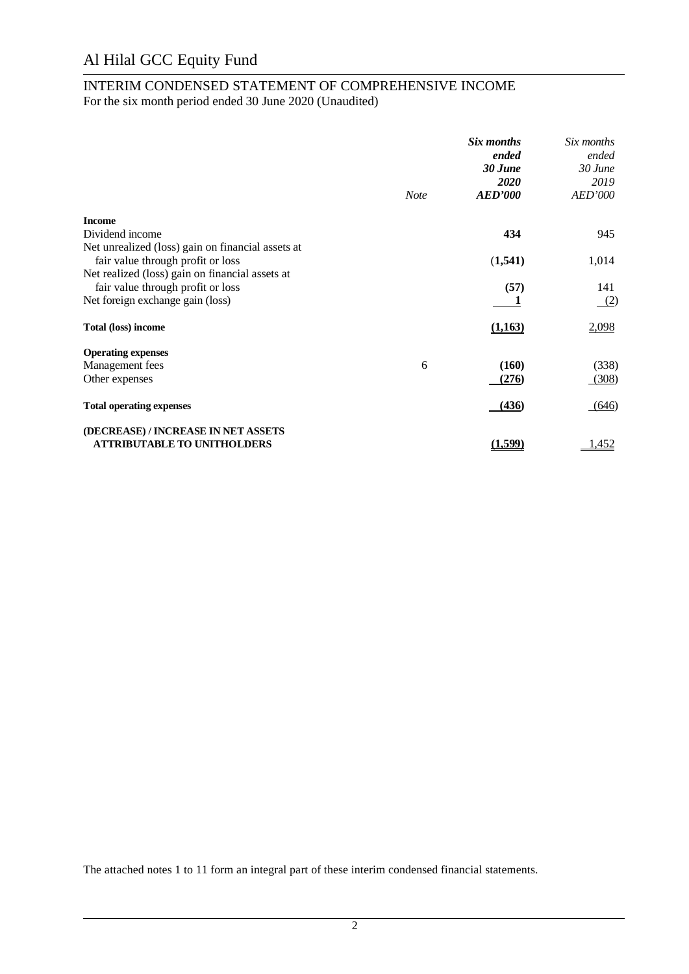#### INTERIM CONDENSED STATEMENT OF COMPREHENSIVE INCOME For the six month period ended 30 June 2020 (Unaudited)

|                                                                           | <b>Note</b> | Six months<br>ended<br>30 June<br>2020<br><b>AED'000</b> | Six months<br>ended<br>30 June<br>2019<br><b>AED'000</b> |
|---------------------------------------------------------------------------|-------------|----------------------------------------------------------|----------------------------------------------------------|
| <b>Income</b>                                                             |             |                                                          |                                                          |
| Dividend income                                                           |             | 434                                                      | 945                                                      |
| Net unrealized (loss) gain on financial assets at                         |             |                                                          |                                                          |
| fair value through profit or loss                                         |             | (1,541)                                                  | 1,014                                                    |
| Net realized (loss) gain on financial assets at                           |             |                                                          |                                                          |
| fair value through profit or loss                                         |             | (57)                                                     | 141                                                      |
| Net foreign exchange gain (loss)                                          |             |                                                          | <u>(2)</u>                                               |
| Total (loss) income                                                       |             | (1,163)                                                  | 2,098                                                    |
| <b>Operating expenses</b>                                                 |             |                                                          |                                                          |
| Management fees                                                           | 6           | (160)                                                    | (338)                                                    |
| Other expenses                                                            |             | (276)                                                    | (308)                                                    |
| <b>Total operating expenses</b>                                           |             | (436)                                                    | (646)                                                    |
| (DECREASE) / INCREASE IN NET ASSETS<br><b>ATTRIBUTABLE TO UNITHOLDERS</b> |             | (1,599)                                                  | <u>1,452</u>                                             |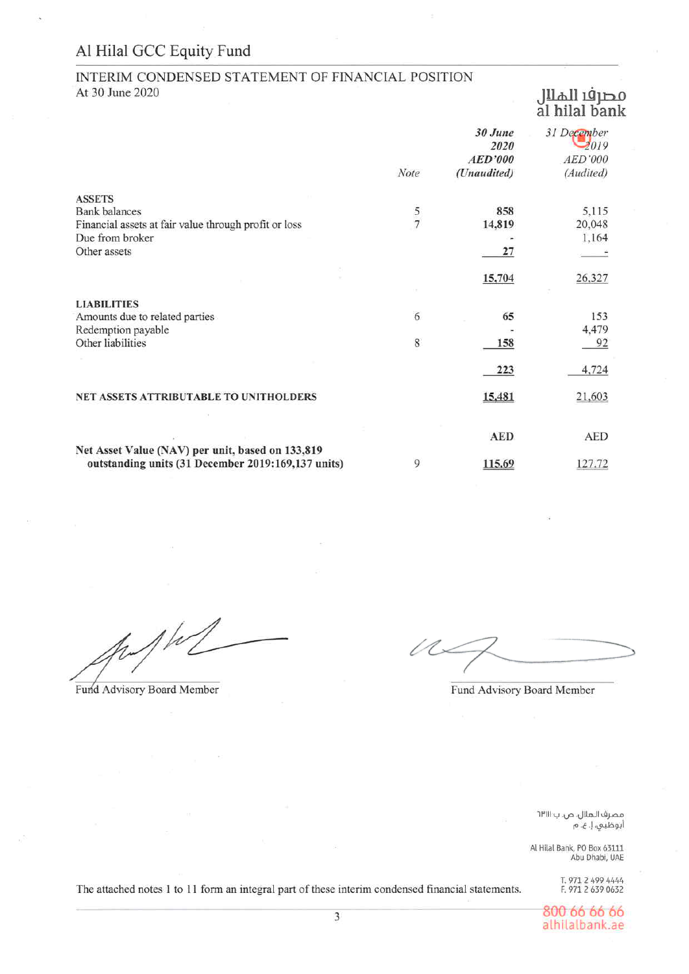#### INTERIM CONDENSED STATEMENT OF FINANCIAL POSITION At 30 June 2020

# مصرفًا الملال<br>al hilal bank

|                                                       |               | 30 June        | 31 December |
|-------------------------------------------------------|---------------|----------------|-------------|
|                                                       |               | 2020           | 2019        |
|                                                       |               | <b>AED'000</b> | AED'000     |
|                                                       | Note          | (Unaudited)    | (Audited)   |
| <b>ASSETS</b>                                         |               |                |             |
| <b>Bank</b> balances                                  |               | 858            | 5,115       |
| Financial assets at fair value through profit or loss | $\frac{5}{7}$ | 14,819         | 20,048      |
| Due from broker                                       |               |                | 1,164       |
| Other assets                                          |               | 27             |             |
|                                                       |               |                |             |
|                                                       |               | 15,704         | 26,327      |
| <b>LIABILITIES</b>                                    |               |                |             |
|                                                       | 6             | 65             | 153         |
| Amounts due to related parties                        |               |                | 4,479       |
| Redemption payable<br>Other liabilities               | 8             |                |             |
|                                                       |               | 158            | $-92$       |
|                                                       |               | 223            | 4,724       |
|                                                       |               |                |             |
| NET ASSETS ATTRIBUTABLE TO UNITHOLDERS                |               | 15,481         | 21,603      |
|                                                       |               |                |             |
|                                                       |               | <b>AED</b>     | AED         |
| Net Asset Value (NAV) per unit, based on 133,819      |               |                |             |
| outstanding units (31 December 2019:169,137 units)    | 9             | 115.69         | 127.72      |

1 /c

Fund Advisory Board Member

 $\ell\!\!\!\ell\!\!$ 

Fund Advisory Board Member

مصرف الملال، ص. ب ١٣١١ ابوظيي. إ. ع. م

Al Hilal Bank, PO Box 63111 Abu Dhabi, UAE

T. 971 2 499 4444<br>F. 971 2 639 0632

800 66 66 66 alhilalbank.ae

 $\sqrt{3}$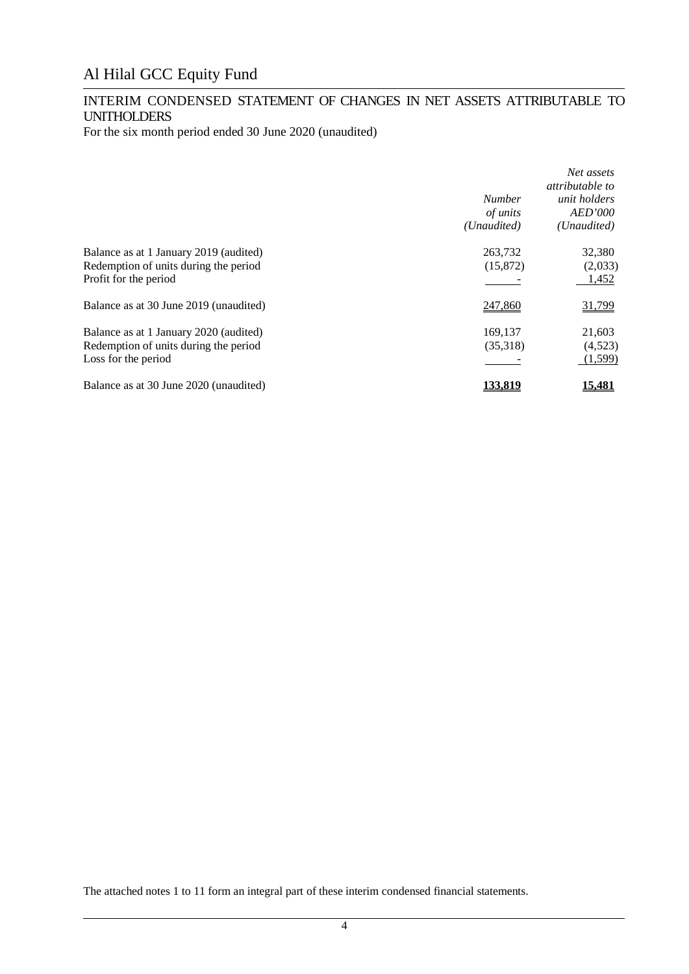#### INTERIM CONDENSED STATEMENT OF CHANGES IN NET ASSETS ATTRIBUTABLE TO UNITHOLDERS

For the six month period ended 30 June 2020 (unaudited)

|                                                                                                          | <b>Number</b><br>of <i>units</i><br>(Unaudited) | Net assets<br><i>attributable to</i><br>unit holders<br><i>AED'000</i><br>( <i>Unaudited</i> ) |
|----------------------------------------------------------------------------------------------------------|-------------------------------------------------|------------------------------------------------------------------------------------------------|
| Balance as at 1 January 2019 (audited)<br>Redemption of units during the period<br>Profit for the period | 263,732<br>(15,872)                             | 32,380<br>(2,033)<br>1,452                                                                     |
| Balance as at 30 June 2019 (unaudited)                                                                   | 247,860                                         | 31,799                                                                                         |
| Balance as at 1 January 2020 (audited)<br>Redemption of units during the period<br>Loss for the period   | 169,137<br>(35,318)                             | 21,603<br>(4,523)<br>(1,599)                                                                   |
| Balance as at 30 June 2020 (unaudited)                                                                   | 133.819                                         | <u>15,481</u>                                                                                  |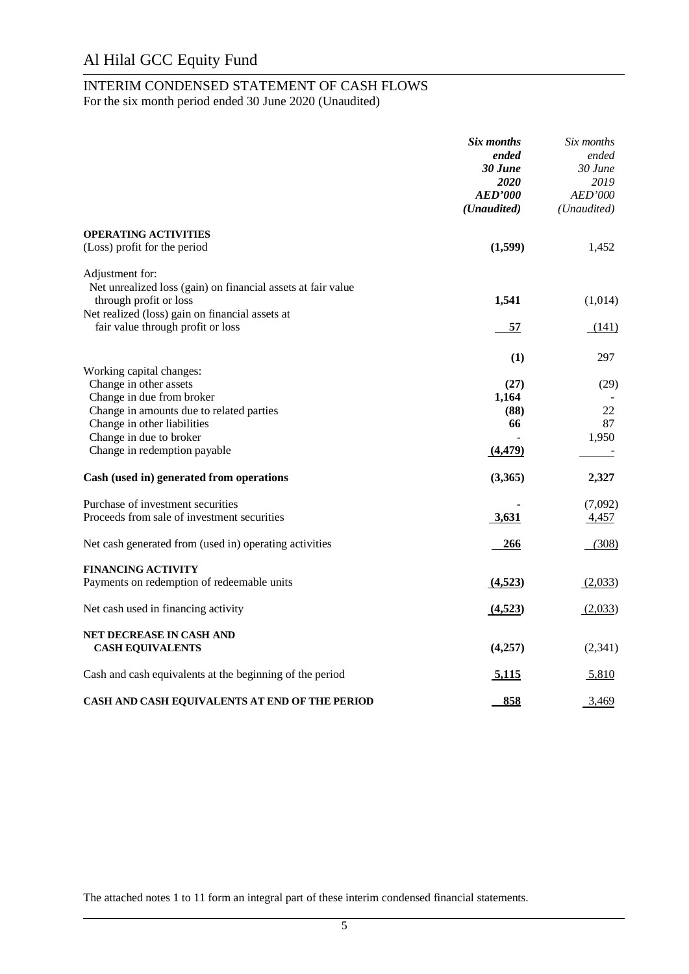#### INTERIM CONDENSED STATEMENT OF CASH FLOWS For the six month period ended 30 June 2020 (Unaudited)

|                                                                                                                                                              | Six months<br>ended<br>30 June<br>2020<br><b>AED'000</b><br>(Unaudited) | Six months<br>ended<br>30 June<br>2019<br>AED'000<br>(Unaudited) |
|--------------------------------------------------------------------------------------------------------------------------------------------------------------|-------------------------------------------------------------------------|------------------------------------------------------------------|
| <b>OPERATING ACTIVITIES</b><br>(Loss) profit for the period                                                                                                  | (1,599)                                                                 | 1,452                                                            |
|                                                                                                                                                              |                                                                         |                                                                  |
| Adjustment for:<br>Net unrealized loss (gain) on financial assets at fair value<br>through profit or loss<br>Net realized (loss) gain on financial assets at | 1,541                                                                   | (1,014)                                                          |
| fair value through profit or loss                                                                                                                            | 57                                                                      | (141)                                                            |
|                                                                                                                                                              | (1)                                                                     | 297                                                              |
| Working capital changes:<br>Change in other assets<br>Change in due from broker<br>Change in amounts due to related parties                                  | (27)<br>1,164<br>(88)                                                   | (29)<br>22                                                       |
| Change in other liabilities<br>Change in due to broker<br>Change in redemption payable                                                                       | 66<br>(4, 479)                                                          | 87<br>1,950                                                      |
| Cash (used in) generated from operations                                                                                                                     | (3,365)                                                                 | 2,327                                                            |
| Purchase of investment securities                                                                                                                            |                                                                         | (7,092)                                                          |
| Proceeds from sale of investment securities                                                                                                                  | 3,631                                                                   | 4,457                                                            |
| Net cash generated from (used in) operating activities                                                                                                       | 266                                                                     | (308)                                                            |
| <b>FINANCING ACTIVITY</b><br>Payments on redemption of redeemable units                                                                                      | (4,523)                                                                 | (2,033)                                                          |
| Net cash used in financing activity                                                                                                                          | (4,523)                                                                 | (2,033)                                                          |
| NET DECREASE IN CASH AND<br><b>CASH EQUIVALENTS</b>                                                                                                          | (4,257)                                                                 | (2,341)                                                          |
| Cash and cash equivalents at the beginning of the period                                                                                                     | 5,115                                                                   | 5,810                                                            |
| CASH AND CASH EQUIVALENTS AT END OF THE PERIOD                                                                                                               | 858                                                                     | 3,469                                                            |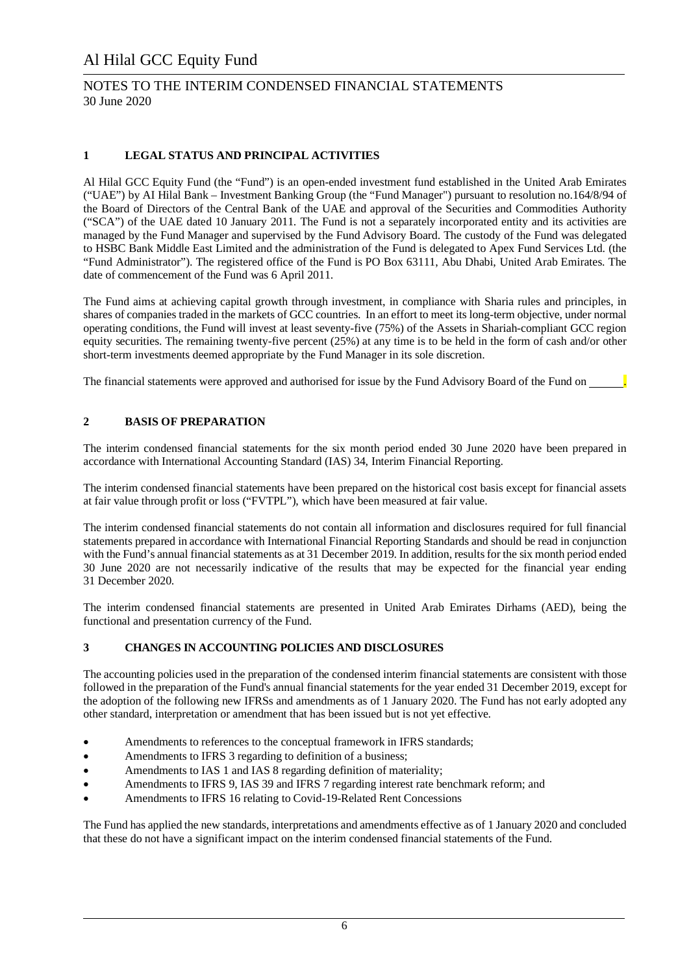#### NOTES TO THE INTERIM CONDENSED FINANCIAL STATEMENTS 30 June 2020

#### **1 LEGAL STATUS AND PRINCIPAL ACTIVITIES**

Al Hilal GCC Equity Fund (the "Fund") is an open-ended investment fund established in the United Arab Emirates ("UAE") by AI Hilal Bank – Investment Banking Group (the "Fund Manager") pursuant to resolution no.164/8/94 of the Board of Directors of the Central Bank of the UAE and approval of the Securities and Commodities Authority ("SCA") of the UAE dated 10 January 2011. The Fund is not a separately incorporated entity and its activities are managed by the Fund Manager and supervised by the Fund Advisory Board. The custody of the Fund was delegated to HSBC Bank Middle East Limited and the administration of the Fund is delegated to Apex Fund Services Ltd. (the "Fund Administrator"). The registered office of the Fund is PO Box 63111, Abu Dhabi, United Arab Emirates. The date of commencement of the Fund was 6 April 2011.

The Fund aims at achieving capital growth through investment, in compliance with Sharia rules and principles, in shares of companies traded in the markets of GCC countries. In an effort to meet its long-term objective, under normal operating conditions, the Fund will invest at least seventy-five (75%) of the Assets in Shariah-compliant GCC region equity securities. The remaining twenty-five percent (25%) at any time is to be held in the form of cash and/or other short-term investments deemed appropriate by the Fund Manager in its sole discretion.

The financial statements were approved and authorised for issue by the Fund Advisory Board of the Fund on .

#### **2 BASIS OF PREPARATION**

The interim condensed financial statements for the six month period ended 30 June 2020 have been prepared in accordance with International Accounting Standard (IAS) 34, Interim Financial Reporting.

The interim condensed financial statements have been prepared on the historical cost basis except for financial assets at fair value through profit or loss ("FVTPL"), which have been measured at fair value.

The interim condensed financial statements do not contain all information and disclosures required for full financial statements prepared in accordance with International Financial Reporting Standards and should be read in conjunction with the Fund's annual financial statements as at 31 December 2019. In addition, results for the six month period ended 30 June 2020 are not necessarily indicative of the results that may be expected for the financial year ending 31 December 2020.

The interim condensed financial statements are presented in United Arab Emirates Dirhams (AED), being the functional and presentation currency of the Fund.

#### **3 CHANGES IN ACCOUNTING POLICIES AND DISCLOSURES**

The accounting policies used in the preparation of the condensed interim financial statements are consistent with those followed in the preparation of the Fund's annual financial statements for the year ended 31 December 2019, except for the adoption of the following new IFRSs and amendments as of 1 January 2020. The Fund has not early adopted any other standard, interpretation or amendment that has been issued but is not yet effective.

- Amendments to references to the conceptual framework in IFRS standards;
- Amendments to IFRS 3 regarding to definition of a business;
- Amendments to IAS 1 and IAS 8 regarding definition of materiality;
- Amendments to IFRS 9, IAS 39 and IFRS 7 regarding interest rate benchmark reform; and
- Amendments to IFRS 16 relating to Covid-19-Related Rent Concessions

The Fund has applied the new standards, interpretations and amendments effective as of 1 January 2020 and concluded that these do not have a significant impact on the interim condensed financial statements of the Fund.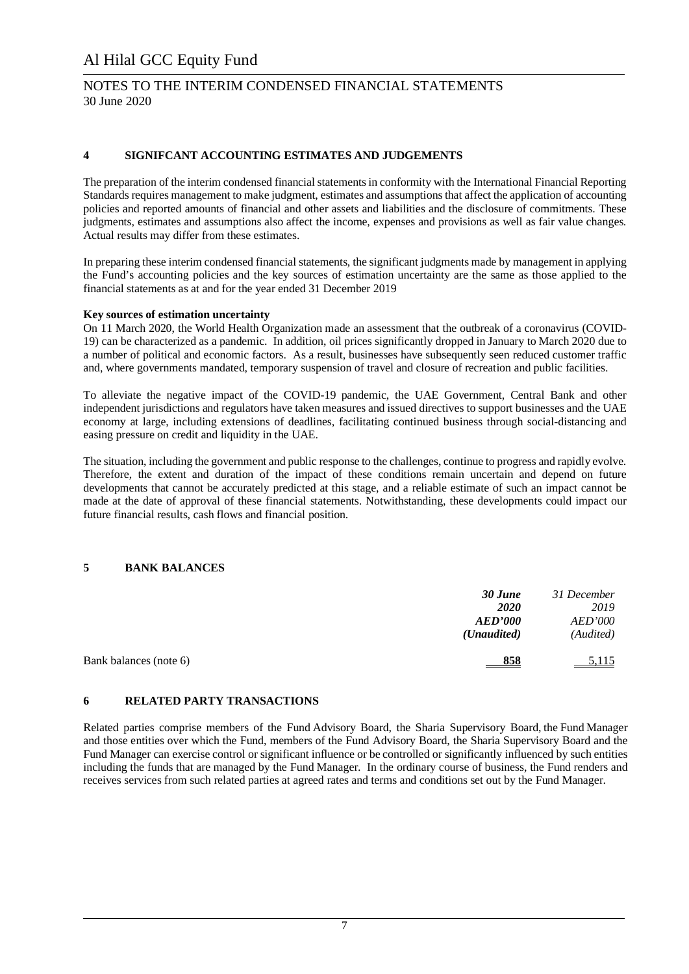#### NOTES TO THE INTERIM CONDENSED FINANCIAL STATEMENTS 30 June 2020

#### **4 SIGNIFCANT ACCOUNTING ESTIMATES AND JUDGEMENTS**

The preparation of the interim condensed financial statements in conformity with the International Financial Reporting Standards requires management to make judgment, estimates and assumptions that affect the application of accounting policies and reported amounts of financial and other assets and liabilities and the disclosure of commitments. These judgments, estimates and assumptions also affect the income, expenses and provisions as well as fair value changes. Actual results may differ from these estimates.

In preparing these interim condensed financial statements, the significant judgments made by management in applying the Fund's accounting policies and the key sources of estimation uncertainty are the same as those applied to the financial statements as at and for the year ended 31 December 2019

#### **Key sources of estimation uncertainty**

On 11 March 2020, the World Health Organization made an assessment that the outbreak of a coronavirus (COVID-19) can be characterized as a pandemic. In addition, oil prices significantly dropped in January to March 2020 due to a number of political and economic factors. As a result, businesses have subsequently seen reduced customer traffic and, where governments mandated, temporary suspension of travel and closure of recreation and public facilities.

To alleviate the negative impact of the COVID-19 pandemic, the UAE Government, Central Bank and other independent jurisdictions and regulators have taken measures and issued directives to support businesses and the UAE economy at large, including extensions of deadlines, facilitating continued business through social-distancing and easing pressure on credit and liquidity in the UAE.

The situation, including the government and public response to the challenges, continue to progress and rapidly evolve. Therefore, the extent and duration of the impact of these conditions remain uncertain and depend on future developments that cannot be accurately predicted at this stage, and a reliable estimate of such an impact cannot be made at the date of approval of these financial statements. Notwithstanding, these developments could impact our future financial results, cash flows and financial position.

#### **5 BANK BALANCES**

|                        | 30 June<br><b>2020</b>                 | 31 December<br>2019         |
|------------------------|----------------------------------------|-----------------------------|
|                        | <b>AED'000</b><br>( <i>Unaudited</i> ) | <i>AED'000</i><br>(Audited) |
| Bank balances (note 6) | <u>858</u>                             | 5,115                       |

#### **6 RELATED PARTY TRANSACTIONS**

Related parties comprise members of the Fund Advisory Board, the Sharia Supervisory Board, the Fund Manager and those entities over which the Fund, members of the Fund Advisory Board, the Sharia Supervisory Board and the Fund Manager can exercise control or significant influence or be controlled or significantly influenced by such entities including the funds that are managed by the Fund Manager. In the ordinary course of business, the Fund renders and receives services from such related parties at agreed rates and terms and conditions set out by the Fund Manager.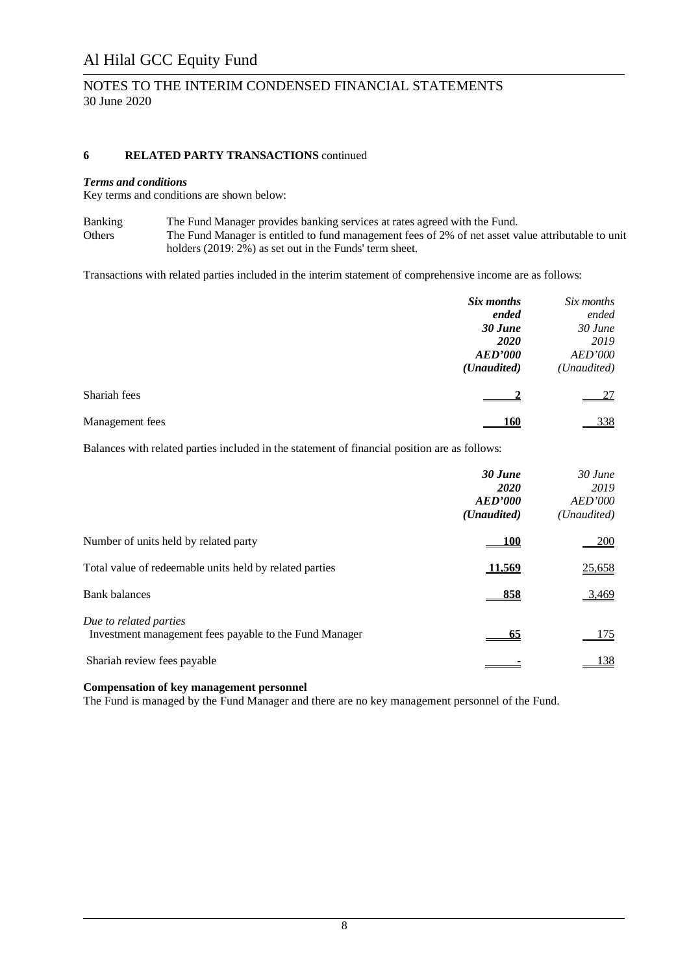#### NOTES TO THE INTERIM CONDENSED FINANCIAL STATEMENTS 30 June 2020

#### **6 RELATED PARTY TRANSACTIONS** continued

#### *Terms and conditions*

Key terms and conditions are shown below:

| <b>Banking</b> | The Fund Manager provides banking services at rates agreed with the Fund.                          |
|----------------|----------------------------------------------------------------------------------------------------|
| <b>Others</b>  | The Fund Manager is entitled to fund management fees of 2% of net asset value attributable to unit |
|                | holders (2019: 2%) as set out in the Funds' term sheet.                                            |

Transactions with related parties included in the interim statement of comprehensive income are as follows:

|                 | Six months<br>ended<br>30 June<br><b>2020</b><br><b>AED'000</b> | Six months<br>ended<br>$30$ June<br>2019<br>AED'000 |
|-----------------|-----------------------------------------------------------------|-----------------------------------------------------|
| Shariah fees    | (Unaudited)                                                     | (Unaudited)<br><u>27</u>                            |
| Management fees | 160                                                             | 338                                                 |

Balances with related parties included in the statement of financial position are as follows:

|                                                                                  | 30 June<br><b>2020</b><br>AED'000<br>( <i>Unaudited</i> ) | $30$ June<br>2019<br>AED'000<br>(Unaudited) |
|----------------------------------------------------------------------------------|-----------------------------------------------------------|---------------------------------------------|
| Number of units held by related party                                            | 100                                                       | <b>200</b>                                  |
| Total value of redeemable units held by related parties                          | 11,569                                                    | 25,658                                      |
| <b>Bank balances</b>                                                             | 858                                                       | 3,469                                       |
| Due to related parties<br>Investment management fees payable to the Fund Manager | <u>65</u>                                                 | 175                                         |
| Shariah review fees payable                                                      |                                                           | 138                                         |

#### **Compensation of key management personnel**

The Fund is managed by the Fund Manager and there are no key management personnel of the Fund.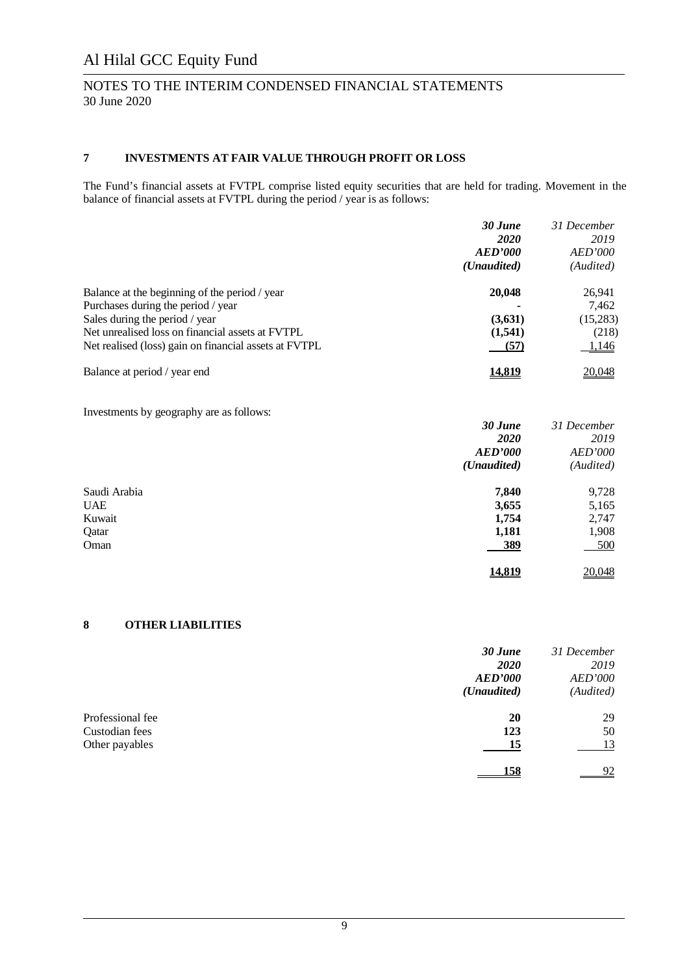#### NOTES TO THE INTERIM CONDENSED FINANCIAL STATEMENTS 30 June 2020

#### **7 INVESTMENTS AT FAIR VALUE THROUGH PROFIT OR LOSS**

The Fund's financial assets at FVTPL comprise listed equity securities that are held for trading. Movement in the balance of financial assets at FVTPL during the period / year is as follows:

|                                                       | 30 June     | 31 December    |
|-------------------------------------------------------|-------------|----------------|
|                                                       | <b>2020</b> | 2019           |
|                                                       | AED'000     | <i>AED'000</i> |
|                                                       | (Unaudited) | (Audited)      |
| Balance at the beginning of the period / year         | 20,048      | 26,941         |
| Purchases during the period / year                    |             | 7.462          |
| Sales during the period / year                        | (3,631)     | (15,283)       |
| Net unrealised loss on financial assets at FVTPL      | (1,541)     | (218)          |
| Net realised (loss) gain on financial assets at FVTPL | (57)        | 1,146          |
| Balance at period / year end                          | 14.819      | 20,048         |

Investments by geography are as follows:

| <i>, , ,</i> , , | 30 June<br><b>2020</b>        | 31 December<br>2019         |
|------------------|-------------------------------|-----------------------------|
|                  | <b>AED'000</b><br>(Unaudited) | <b>AED'000</b><br>(Audited) |
| Saudi Arabia     | 7,840                         | 9,728                       |
| <b>UAE</b>       | 3,655                         | 5,165                       |
| Kuwait           | 1,754                         | 2,747                       |
| Qatar            | 1,181                         | 1,908                       |
| Oman             | <u>389</u>                    | 500                         |
|                  | <u>14,819</u>                 | 20,048                      |

#### **8 OTHER LIABILITIES**

|                  | 30 June        | 31 December    |
|------------------|----------------|----------------|
|                  | <b>2020</b>    | 2019           |
|                  | <b>AED'000</b> | <b>AED'000</b> |
|                  | (Unaudited)    | (Audited)      |
| Professional fee | 20             | 29             |
| Custodian fees   | 123            | 50             |
| Other payables   | 15             | 13             |
|                  |                | 92             |